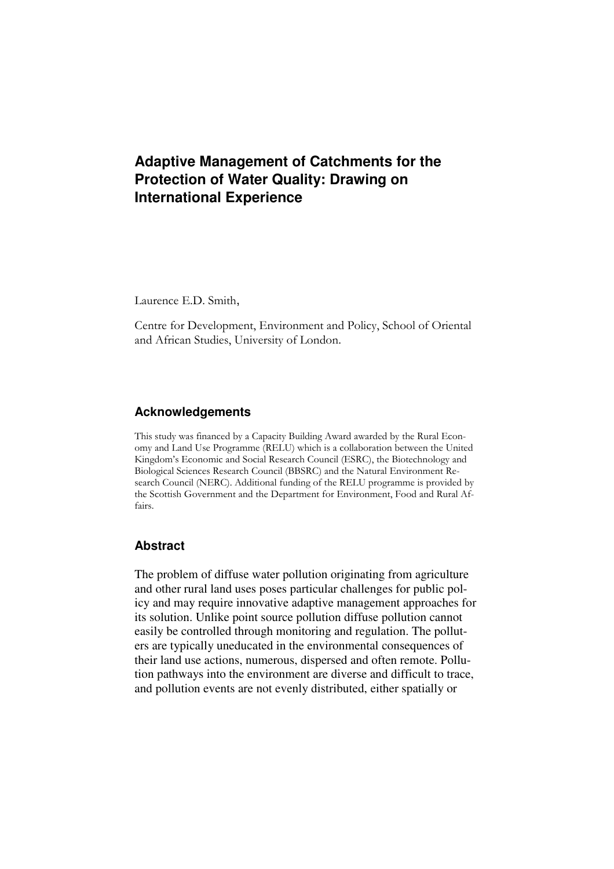# **Adaptive Management of Catchments for the Protection of Water Quality: Drawing on International Experience**

Laurence E.D. Smith,

Centre for Development, Environment and Policy, School of Oriental and African Studies, University of London.

### **Acknowledgements**

This study was financed by a Capacity Building Award awarded by the Rural Economy and Land Use Programme (RELU) which is a collaboration between the United Kingdom's Economic and Social Research Council (ESRC), the Biotechnology and Biological Sciences Research Council (BBSRC) and the Natural Environment Research Council (NERC). Additional funding of the RELU programme is provided by the Scottish Government and the Department for Environment, Food and Rural Affairs.

### **Abstract**

The problem of diffuse water pollution originating from agriculture and other rural land uses poses particular challenges for public policy and may require innovative adaptive management approaches for its solution. Unlike point source pollution diffuse pollution cannot easily be controlled through monitoring and regulation. The polluters are typically uneducated in the environmental consequences of their land use actions, numerous, dispersed and often remote. Pollution pathways into the environment are diverse and difficult to trace, and pollution events are not evenly distributed, either spatially or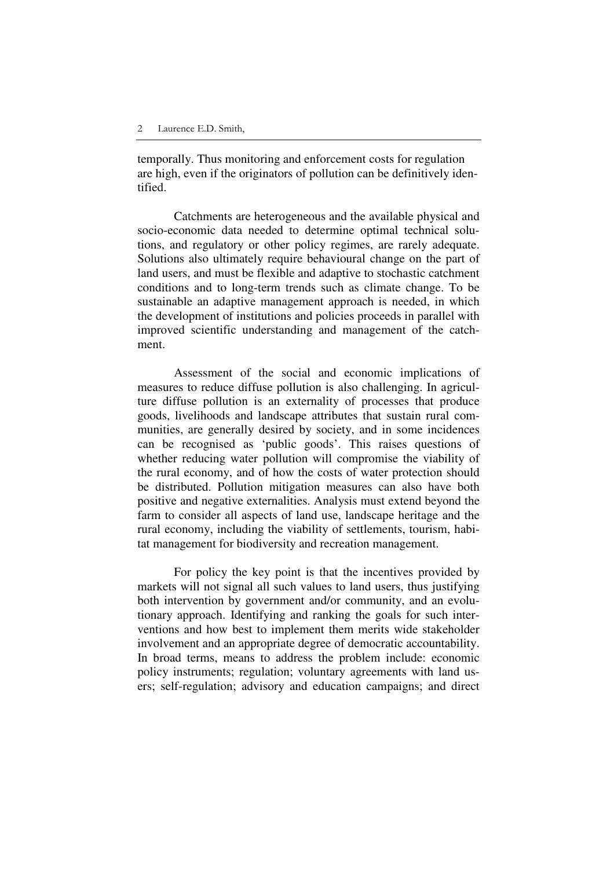temporally. Thus monitoring and enforcement costs for regulation are high, even if the originators of pollution can be definitively identified.

Catchments are heterogeneous and the available physical and socio-economic data needed to determine optimal technical solutions, and regulatory or other policy regimes, are rarely adequate. Solutions also ultimately require behavioural change on the part of land users, and must be flexible and adaptive to stochastic catchment conditions and to long-term trends such as climate change. To be sustainable an adaptive management approach is needed, in which the development of institutions and policies proceeds in parallel with improved scientific understanding and management of the catchment.

Assessment of the social and economic implications of measures to reduce diffuse pollution is also challenging. In agriculture diffuse pollution is an externality of processes that produce goods, livelihoods and landscape attributes that sustain rural communities, are generally desired by society, and in some incidences can be recognised as 'public goods'. This raises questions of whether reducing water pollution will compromise the viability of the rural economy, and of how the costs of water protection should be distributed. Pollution mitigation measures can also have both positive and negative externalities. Analysis must extend beyond the farm to consider all aspects of land use, landscape heritage and the rural economy, including the viability of settlements, tourism, habitat management for biodiversity and recreation management.

For policy the key point is that the incentives provided by markets will not signal all such values to land users, thus justifying both intervention by government and/or community, and an evolutionary approach. Identifying and ranking the goals for such interventions and how best to implement them merits wide stakeholder involvement and an appropriate degree of democratic accountability. In broad terms, means to address the problem include: economic policy instruments; regulation; voluntary agreements with land users; self-regulation; advisory and education campaigns; and direct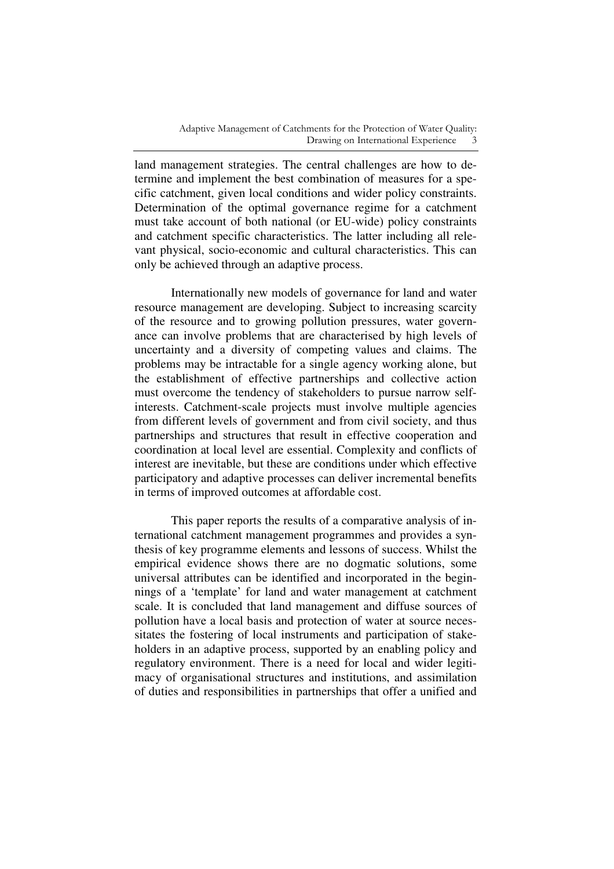land management strategies. The central challenges are how to determine and implement the best combination of measures for a specific catchment, given local conditions and wider policy constraints. Determination of the optimal governance regime for a catchment must take account of both national (or EU-wide) policy constraints and catchment specific characteristics. The latter including all relevant physical, socio-economic and cultural characteristics. This can only be achieved through an adaptive process.

Internationally new models of governance for land and water resource management are developing. Subject to increasing scarcity of the resource and to growing pollution pressures, water governance can involve problems that are characterised by high levels of uncertainty and a diversity of competing values and claims. The problems may be intractable for a single agency working alone, but the establishment of effective partnerships and collective action must overcome the tendency of stakeholders to pursue narrow selfinterests. Catchment-scale projects must involve multiple agencies from different levels of government and from civil society, and thus partnerships and structures that result in effective cooperation and coordination at local level are essential. Complexity and conflicts of interest are inevitable, but these are conditions under which effective participatory and adaptive processes can deliver incremental benefits in terms of improved outcomes at affordable cost.

This paper reports the results of a comparative analysis of international catchment management programmes and provides a synthesis of key programme elements and lessons of success. Whilst the empirical evidence shows there are no dogmatic solutions, some universal attributes can be identified and incorporated in the beginnings of a 'template' for land and water management at catchment scale. It is concluded that land management and diffuse sources of pollution have a local basis and protection of water at source necessitates the fostering of local instruments and participation of stakeholders in an adaptive process, supported by an enabling policy and regulatory environment. There is a need for local and wider legitimacy of organisational structures and institutions, and assimilation of duties and responsibilities in partnerships that offer a unified and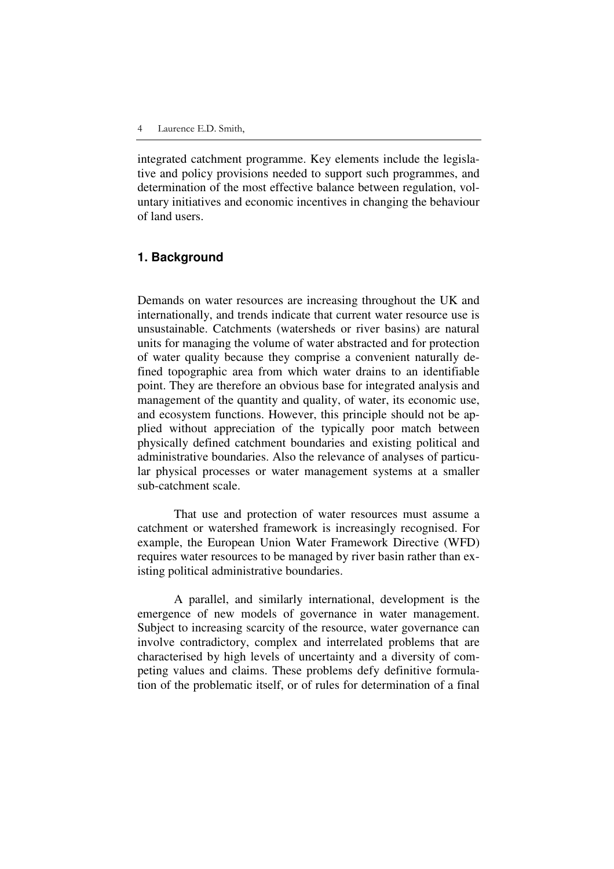integrated catchment programme. Key elements include the legislative and policy provisions needed to support such programmes, and determination of the most effective balance between regulation, voluntary initiatives and economic incentives in changing the behaviour of land users.

### **1. Background**

Demands on water resources are increasing throughout the UK and internationally, and trends indicate that current water resource use is unsustainable. Catchments (watersheds or river basins) are natural units for managing the volume of water abstracted and for protection of water quality because they comprise a convenient naturally defined topographic area from which water drains to an identifiable point. They are therefore an obvious base for integrated analysis and management of the quantity and quality, of water, its economic use, and ecosystem functions. However, this principle should not be applied without appreciation of the typically poor match between physically defined catchment boundaries and existing political and administrative boundaries. Also the relevance of analyses of particular physical processes or water management systems at a smaller sub-catchment scale.

That use and protection of water resources must assume a catchment or watershed framework is increasingly recognised. For example, the European Union Water Framework Directive (WFD) requires water resources to be managed by river basin rather than existing political administrative boundaries.

A parallel, and similarly international, development is the emergence of new models of governance in water management. Subject to increasing scarcity of the resource, water governance can involve contradictory, complex and interrelated problems that are characterised by high levels of uncertainty and a diversity of competing values and claims. These problems defy definitive formulation of the problematic itself, or of rules for determination of a final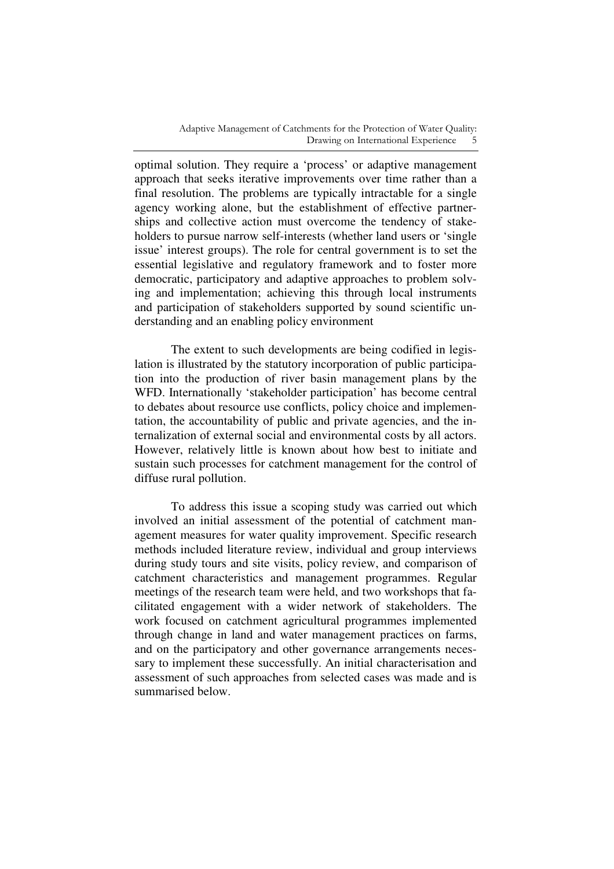optimal solution. They require a 'process' or adaptive management approach that seeks iterative improvements over time rather than a final resolution. The problems are typically intractable for a single agency working alone, but the establishment of effective partnerships and collective action must overcome the tendency of stakeholders to pursue narrow self-interests (whether land users or 'single issue' interest groups). The role for central government is to set the essential legislative and regulatory framework and to foster more democratic, participatory and adaptive approaches to problem solving and implementation; achieving this through local instruments and participation of stakeholders supported by sound scientific understanding and an enabling policy environment

The extent to such developments are being codified in legislation is illustrated by the statutory incorporation of public participation into the production of river basin management plans by the WFD. Internationally 'stakeholder participation' has become central to debates about resource use conflicts, policy choice and implementation, the accountability of public and private agencies, and the internalization of external social and environmental costs by all actors. However, relatively little is known about how best to initiate and sustain such processes for catchment management for the control of diffuse rural pollution.

To address this issue a scoping study was carried out which involved an initial assessment of the potential of catchment management measures for water quality improvement. Specific research methods included literature review, individual and group interviews during study tours and site visits, policy review, and comparison of catchment characteristics and management programmes. Regular meetings of the research team were held, and two workshops that facilitated engagement with a wider network of stakeholders. The work focused on catchment agricultural programmes implemented through change in land and water management practices on farms, and on the participatory and other governance arrangements necessary to implement these successfully. An initial characterisation and assessment of such approaches from selected cases was made and is summarised below.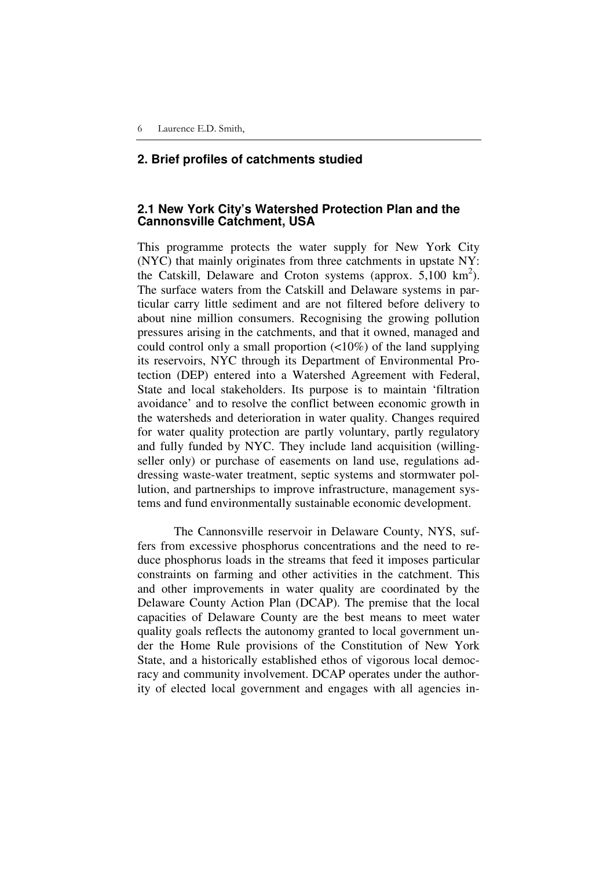### **2. Brief profiles of catchments studied**

### **2.1 New York City's Watershed Protection Plan and the Cannonsville Catchment, USA**

This programme protects the water supply for New York City (NYC) that mainly originates from three catchments in upstate NY: the Catskill, Delaware and Croton systems (approx.  $5,100 \text{ km}^2$ ). The surface waters from the Catskill and Delaware systems in particular carry little sediment and are not filtered before delivery to about nine million consumers. Recognising the growing pollution pressures arising in the catchments, and that it owned, managed and could control only a small proportion (<10%) of the land supplying its reservoirs, NYC through its Department of Environmental Protection (DEP) entered into a Watershed Agreement with Federal, State and local stakeholders. Its purpose is to maintain 'filtration avoidance' and to resolve the conflict between economic growth in the watersheds and deterioration in water quality. Changes required for water quality protection are partly voluntary, partly regulatory and fully funded by NYC. They include land acquisition (willingseller only) or purchase of easements on land use, regulations addressing waste-water treatment, septic systems and stormwater pollution, and partnerships to improve infrastructure, management systems and fund environmentally sustainable economic development.

The Cannonsville reservoir in Delaware County, NYS, suffers from excessive phosphorus concentrations and the need to reduce phosphorus loads in the streams that feed it imposes particular constraints on farming and other activities in the catchment. This and other improvements in water quality are coordinated by the Delaware County Action Plan (DCAP). The premise that the local capacities of Delaware County are the best means to meet water quality goals reflects the autonomy granted to local government under the Home Rule provisions of the Constitution of New York State, and a historically established ethos of vigorous local democracy and community involvement. DCAP operates under the authority of elected local government and engages with all agencies in-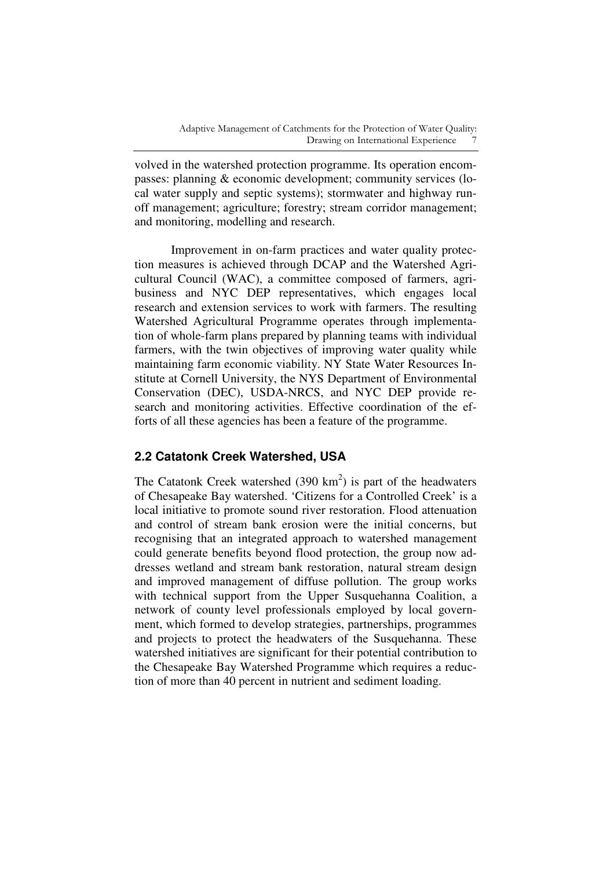volved in the watershed protection programme. Its operation encompasses: planning & economic development; community services (local water supply and septic systems); stormwater and highway runoff management; agriculture; forestry; stream corridor management; and monitoring, modelling and research.

Improvement in on-farm practices and water quality protection measures is achieved through DCAP and the Watershed Agricultural Council (WAC), a committee composed of farmers, agribusiness and NYC DEP representatives, which engages local research and extension services to work with farmers. The resulting Watershed Agricultural Programme operates through implementation of whole-farm plans prepared by planning teams with individual farmers, with the twin objectives of improving water quality while maintaining farm economic viability. NY State Water Resources Institute at Cornell University, the NYS Department of Environmental Conservation (DEC), USDA-NRCS, and NYC DEP provide research and monitoring activities. Effective coordination of the efforts of all these agencies has been a feature of the programme.

# **2.2 Catatonk Creek Watershed, USA**

The Catatonk Creek watershed  $(390 \text{ km}^2)$  is part of the headwaters of Chesapeake Bay watershed. 'Citizens for a Controlled Creek' is a local initiative to promote sound river restoration. Flood attenuation and control of stream bank erosion were the initial concerns, but recognising that an integrated approach to watershed management could generate benefits beyond flood protection, the group now addresses wetland and stream bank restoration, natural stream design and improved management of diffuse pollution. The group works with technical support from the Upper Susquehanna Coalition, a network of county level professionals employed by local government, which formed to develop strategies, partnerships, programmes and projects to protect the headwaters of the Susquehanna. These watershed initiatives are significant for their potential contribution to the Chesapeake Bay Watershed Programme which requires a reduction of more than 40 percent in nutrient and sediment loading.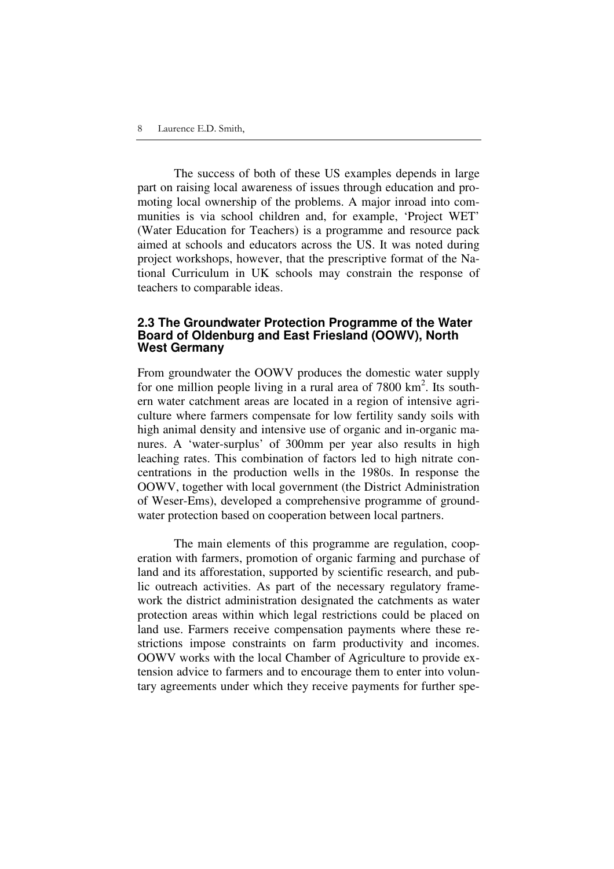The success of both of these US examples depends in large part on raising local awareness of issues through education and promoting local ownership of the problems. A major inroad into communities is via school children and, for example, 'Project WET' (Water Education for Teachers) is a programme and resource pack aimed at schools and educators across the US. It was noted during project workshops, however, that the prescriptive format of the National Curriculum in UK schools may constrain the response of teachers to comparable ideas.

### **2.3 The Groundwater Protection Programme of the Water Board of Oldenburg and East Friesland (OOWV), North West Germany**

From groundwater the OOWV produces the domestic water supply for one million people living in a rural area of  $7800 \text{ km}^2$ . Its southern water catchment areas are located in a region of intensive agriculture where farmers compensate for low fertility sandy soils with high animal density and intensive use of organic and in-organic manures. A 'water-surplus' of 300mm per year also results in high leaching rates. This combination of factors led to high nitrate concentrations in the production wells in the 1980s. In response the OOWV, together with local government (the District Administration of Weser-Ems), developed a comprehensive programme of groundwater protection based on cooperation between local partners.

The main elements of this programme are regulation, cooperation with farmers, promotion of organic farming and purchase of land and its afforestation, supported by scientific research, and public outreach activities. As part of the necessary regulatory framework the district administration designated the catchments as water protection areas within which legal restrictions could be placed on land use. Farmers receive compensation payments where these restrictions impose constraints on farm productivity and incomes. OOWV works with the local Chamber of Agriculture to provide extension advice to farmers and to encourage them to enter into voluntary agreements under which they receive payments for further spe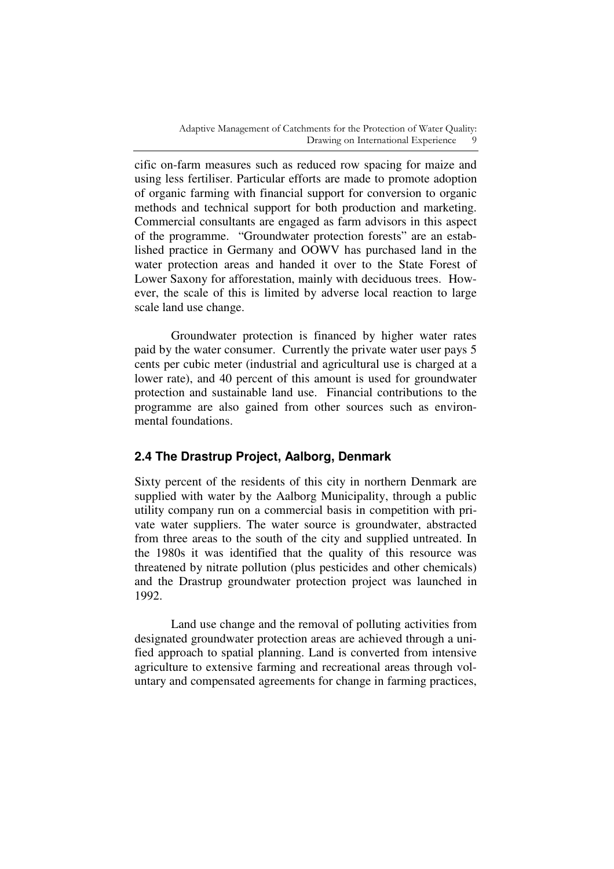cific on-farm measures such as reduced row spacing for maize and using less fertiliser. Particular efforts are made to promote adoption of organic farming with financial support for conversion to organic methods and technical support for both production and marketing. Commercial consultants are engaged as farm advisors in this aspect of the programme. "Groundwater protection forests" are an established practice in Germany and OOWV has purchased land in the water protection areas and handed it over to the State Forest of Lower Saxony for afforestation, mainly with deciduous trees. However, the scale of this is limited by adverse local reaction to large scale land use change.

Groundwater protection is financed by higher water rates paid by the water consumer. Currently the private water user pays 5 cents per cubic meter (industrial and agricultural use is charged at a lower rate), and 40 percent of this amount is used for groundwater protection and sustainable land use. Financial contributions to the programme are also gained from other sources such as environmental foundations.

# **2.4 The Drastrup Project, Aalborg, Denmark**

Sixty percent of the residents of this city in northern Denmark are supplied with water by the Aalborg Municipality, through a public utility company run on a commercial basis in competition with private water suppliers. The water source is groundwater, abstracted from three areas to the south of the city and supplied untreated. In the 1980s it was identified that the quality of this resource was threatened by nitrate pollution (plus pesticides and other chemicals) and the Drastrup groundwater protection project was launched in 1992.

Land use change and the removal of polluting activities from designated groundwater protection areas are achieved through a unified approach to spatial planning. Land is converted from intensive agriculture to extensive farming and recreational areas through voluntary and compensated agreements for change in farming practices,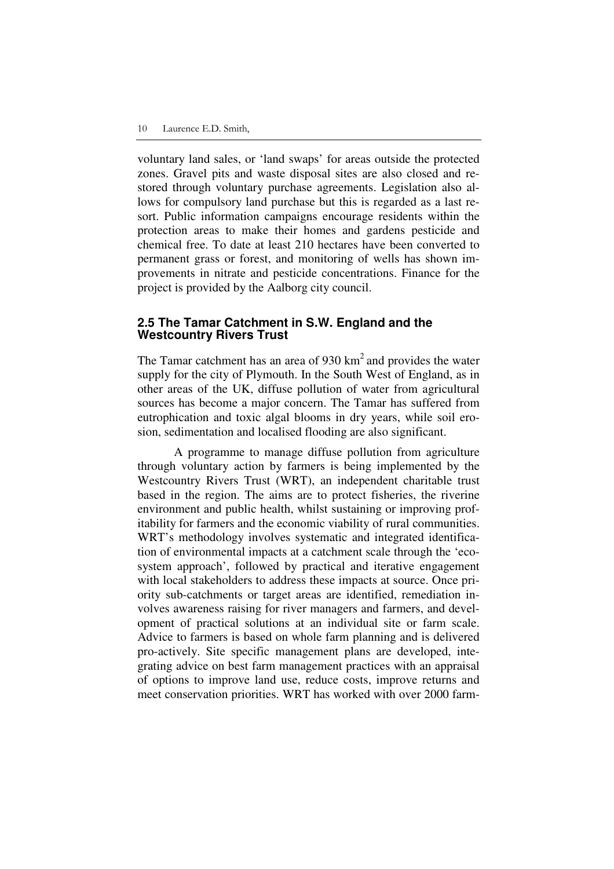voluntary land sales, or 'land swaps' for areas outside the protected zones. Gravel pits and waste disposal sites are also closed and restored through voluntary purchase agreements. Legislation also allows for compulsory land purchase but this is regarded as a last resort. Public information campaigns encourage residents within the protection areas to make their homes and gardens pesticide and chemical free. To date at least 210 hectares have been converted to permanent grass or forest, and monitoring of wells has shown improvements in nitrate and pesticide concentrations. Finance for the project is provided by the Aalborg city council.

### **2.5 The Tamar Catchment in S.W. England and the Westcountry Rivers Trust**

The Tamar catchment has an area of  $930 \text{ km}^2$  and provides the water supply for the city of Plymouth. In the South West of England, as in other areas of the UK, diffuse pollution of water from agricultural sources has become a major concern. The Tamar has suffered from eutrophication and toxic algal blooms in dry years, while soil erosion, sedimentation and localised flooding are also significant.

A programme to manage diffuse pollution from agriculture through voluntary action by farmers is being implemented by the Westcountry Rivers Trust (WRT), an independent charitable trust based in the region. The aims are to protect fisheries, the riverine environment and public health, whilst sustaining or improving profitability for farmers and the economic viability of rural communities. WRT's methodology involves systematic and integrated identification of environmental impacts at a catchment scale through the 'ecosystem approach', followed by practical and iterative engagement with local stakeholders to address these impacts at source. Once priority sub-catchments or target areas are identified, remediation involves awareness raising for river managers and farmers, and development of practical solutions at an individual site or farm scale. Advice to farmers is based on whole farm planning and is delivered pro-actively. Site specific management plans are developed, integrating advice on best farm management practices with an appraisal of options to improve land use, reduce costs, improve returns and meet conservation priorities. WRT has worked with over 2000 farm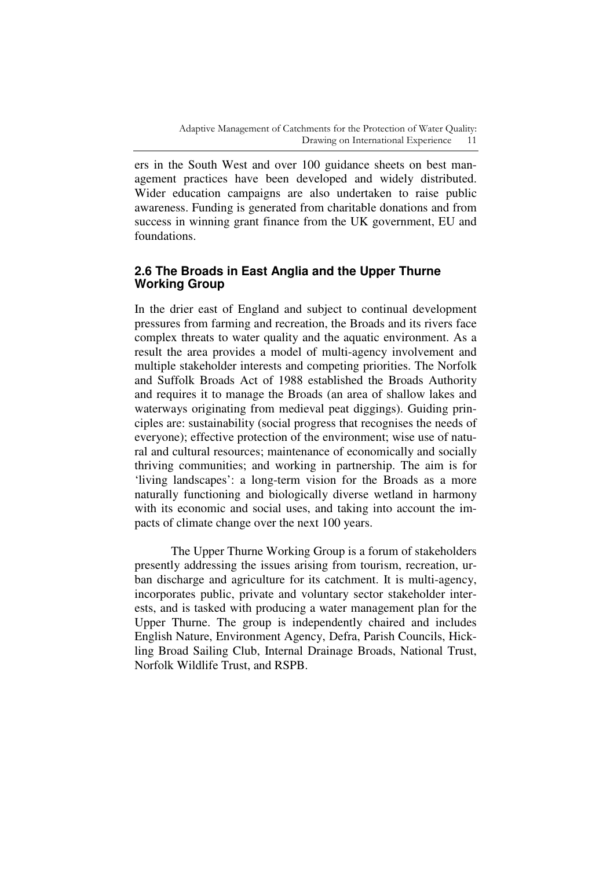ers in the South West and over 100 guidance sheets on best management practices have been developed and widely distributed. Wider education campaigns are also undertaken to raise public awareness. Funding is generated from charitable donations and from success in winning grant finance from the UK government, EU and foundations.

## **2.6 The Broads in East Anglia and the Upper Thurne Working Group**

In the drier east of England and subject to continual development pressures from farming and recreation, the Broads and its rivers face complex threats to water quality and the aquatic environment. As a result the area provides a model of multi-agency involvement and multiple stakeholder interests and competing priorities. The Norfolk and Suffolk Broads Act of 1988 established the Broads Authority and requires it to manage the Broads (an area of shallow lakes and waterways originating from medieval peat diggings). Guiding principles are: sustainability (social progress that recognises the needs of everyone); effective protection of the environment; wise use of natural and cultural resources; maintenance of economically and socially thriving communities; and working in partnership. The aim is for 'living landscapes': a long-term vision for the Broads as a more naturally functioning and biologically diverse wetland in harmony with its economic and social uses, and taking into account the impacts of climate change over the next 100 years.

The Upper Thurne Working Group is a forum of stakeholders presently addressing the issues arising from tourism, recreation, urban discharge and agriculture for its catchment. It is multi-agency, incorporates public, private and voluntary sector stakeholder interests, and is tasked with producing a water management plan for the Upper Thurne. The group is independently chaired and includes English Nature, Environment Agency, Defra, Parish Councils, Hickling Broad Sailing Club, Internal Drainage Broads, National Trust, Norfolk Wildlife Trust, and RSPB.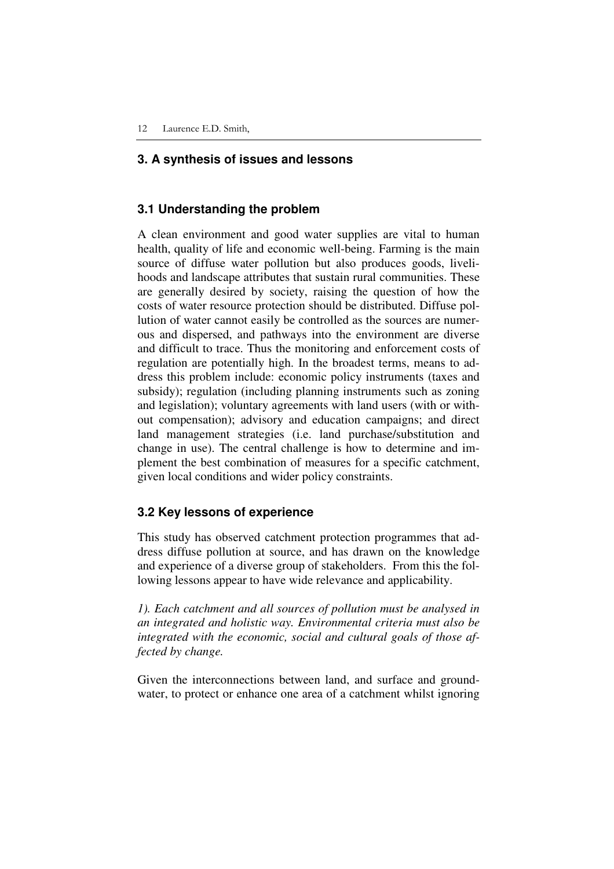### **3. A synthesis of issues and lessons**

### **3.1 Understanding the problem**

A clean environment and good water supplies are vital to human health, quality of life and economic well-being. Farming is the main source of diffuse water pollution but also produces goods, livelihoods and landscape attributes that sustain rural communities. These are generally desired by society, raising the question of how the costs of water resource protection should be distributed. Diffuse pollution of water cannot easily be controlled as the sources are numerous and dispersed, and pathways into the environment are diverse and difficult to trace. Thus the monitoring and enforcement costs of regulation are potentially high. In the broadest terms, means to address this problem include: economic policy instruments (taxes and subsidy); regulation (including planning instruments such as zoning and legislation); voluntary agreements with land users (with or without compensation); advisory and education campaigns; and direct land management strategies (i.e. land purchase/substitution and change in use). The central challenge is how to determine and implement the best combination of measures for a specific catchment, given local conditions and wider policy constraints.

### **3.2 Key lessons of experience**

This study has observed catchment protection programmes that address diffuse pollution at source, and has drawn on the knowledge and experience of a diverse group of stakeholders. From this the following lessons appear to have wide relevance and applicability.

*1). Each catchment and all sources of pollution must be analysed in an integrated and holistic way. Environmental criteria must also be integrated with the economic, social and cultural goals of those affected by change.* 

Given the interconnections between land, and surface and groundwater, to protect or enhance one area of a catchment whilst ignoring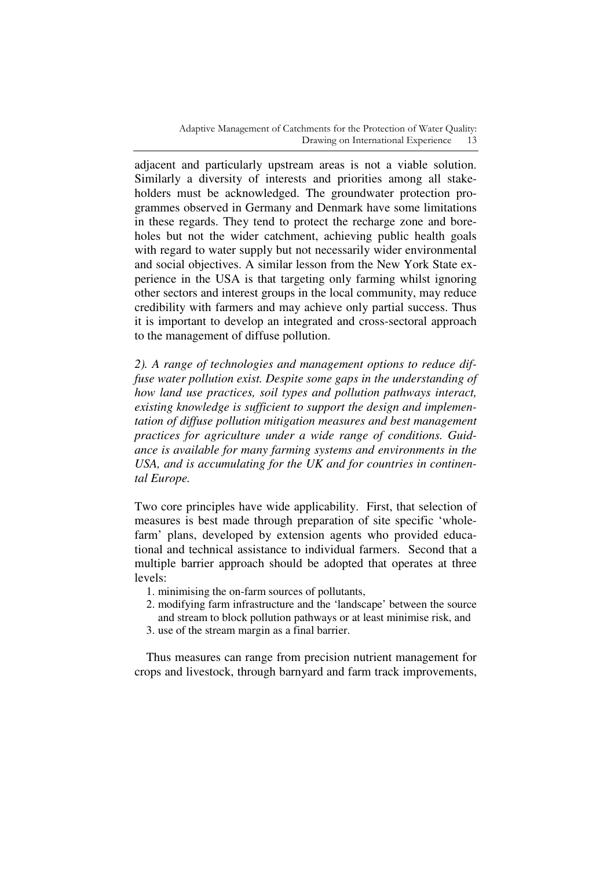adjacent and particularly upstream areas is not a viable solution. Similarly a diversity of interests and priorities among all stakeholders must be acknowledged. The groundwater protection programmes observed in Germany and Denmark have some limitations in these regards. They tend to protect the recharge zone and boreholes but not the wider catchment, achieving public health goals with regard to water supply but not necessarily wider environmental and social objectives. A similar lesson from the New York State experience in the USA is that targeting only farming whilst ignoring other sectors and interest groups in the local community, may reduce credibility with farmers and may achieve only partial success. Thus it is important to develop an integrated and cross-sectoral approach to the management of diffuse pollution.

*2). A range of technologies and management options to reduce diffuse water pollution exist. Despite some gaps in the understanding of how land use practices, soil types and pollution pathways interact, existing knowledge is sufficient to support the design and implementation of diffuse pollution mitigation measures and best management practices for agriculture under a wide range of conditions. Guidance is available for many farming systems and environments in the USA, and is accumulating for the UK and for countries in continental Europe.* 

Two core principles have wide applicability. First, that selection of measures is best made through preparation of site specific 'wholefarm' plans, developed by extension agents who provided educational and technical assistance to individual farmers. Second that a multiple barrier approach should be adopted that operates at three levels:

- 1. minimising the on-farm sources of pollutants,
- 2. modifying farm infrastructure and the 'landscape' between the source and stream to block pollution pathways or at least minimise risk, and
- 3. use of the stream margin as a final barrier.

Thus measures can range from precision nutrient management for crops and livestock, through barnyard and farm track improvements,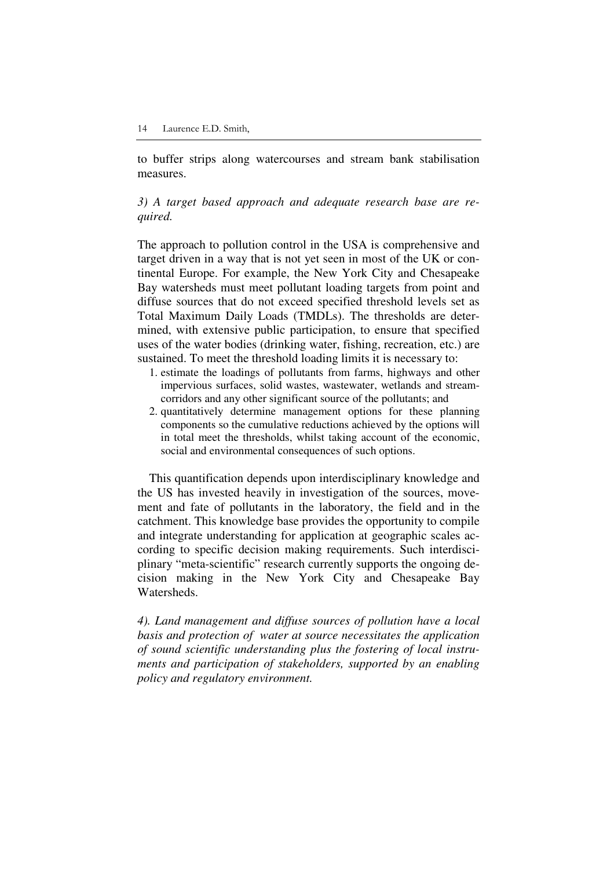to buffer strips along watercourses and stream bank stabilisation measures.

### *3) A target based approach and adequate research base are required.*

The approach to pollution control in the USA is comprehensive and target driven in a way that is not yet seen in most of the UK or continental Europe. For example, the New York City and Chesapeake Bay watersheds must meet pollutant loading targets from point and diffuse sources that do not exceed specified threshold levels set as Total Maximum Daily Loads (TMDLs). The thresholds are determined, with extensive public participation, to ensure that specified uses of the water bodies (drinking water, fishing, recreation, etc.) are sustained. To meet the threshold loading limits it is necessary to:

- 1. estimate the loadings of pollutants from farms, highways and other impervious surfaces, solid wastes, wastewater, wetlands and streamcorridors and any other significant source of the pollutants; and
- 2. quantitatively determine management options for these planning components so the cumulative reductions achieved by the options will in total meet the thresholds, whilst taking account of the economic, social and environmental consequences of such options.

This quantification depends upon interdisciplinary knowledge and the US has invested heavily in investigation of the sources, movement and fate of pollutants in the laboratory, the field and in the catchment. This knowledge base provides the opportunity to compile and integrate understanding for application at geographic scales according to specific decision making requirements. Such interdisciplinary "meta-scientific" research currently supports the ongoing decision making in the New York City and Chesapeake Bay Watersheds.

*4). Land management and diffuse sources of pollution have a local basis and protection of water at source necessitates the application of sound scientific understanding plus the fostering of local instruments and participation of stakeholders, supported by an enabling policy and regulatory environment.*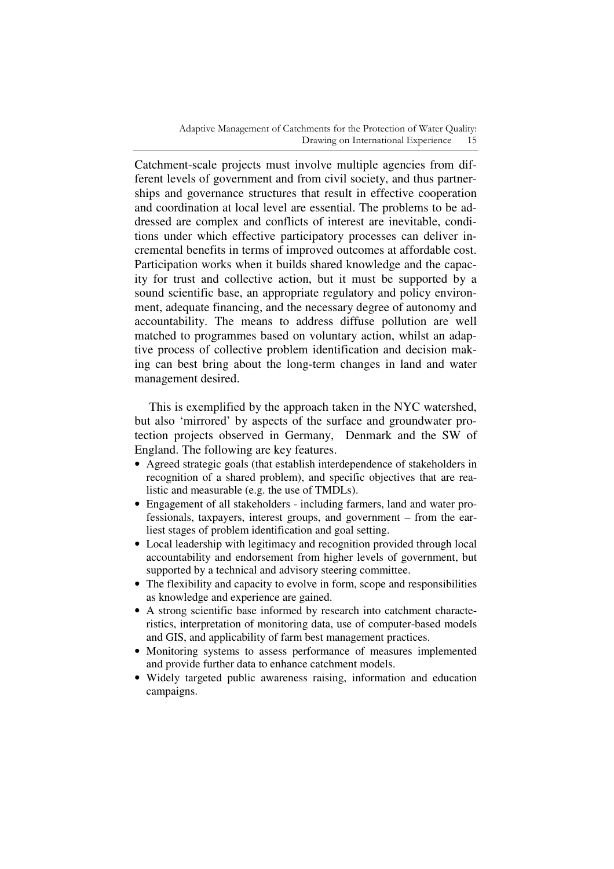Catchment-scale projects must involve multiple agencies from different levels of government and from civil society, and thus partnerships and governance structures that result in effective cooperation and coordination at local level are essential. The problems to be addressed are complex and conflicts of interest are inevitable, conditions under which effective participatory processes can deliver incremental benefits in terms of improved outcomes at affordable cost. Participation works when it builds shared knowledge and the capacity for trust and collective action, but it must be supported by a sound scientific base, an appropriate regulatory and policy environment, adequate financing, and the necessary degree of autonomy and accountability. The means to address diffuse pollution are well matched to programmes based on voluntary action, whilst an adaptive process of collective problem identification and decision making can best bring about the long-term changes in land and water management desired.

This is exemplified by the approach taken in the NYC watershed, but also 'mirrored' by aspects of the surface and groundwater protection projects observed in Germany, Denmark and the SW of England. The following are key features.

- Agreed strategic goals (that establish interdependence of stakeholders in recognition of a shared problem), and specific objectives that are realistic and measurable (e.g. the use of TMDLs).
- Engagement of all stakeholders including farmers, land and water professionals, taxpayers, interest groups, and government – from the earliest stages of problem identification and goal setting.
- Local leadership with legitimacy and recognition provided through local accountability and endorsement from higher levels of government, but supported by a technical and advisory steering committee.
- The flexibility and capacity to evolve in form, scope and responsibilities as knowledge and experience are gained.
- A strong scientific base informed by research into catchment characteristics, interpretation of monitoring data, use of computer-based models and GIS, and applicability of farm best management practices.
- Monitoring systems to assess performance of measures implemented and provide further data to enhance catchment models.
- Widely targeted public awareness raising, information and education campaigns.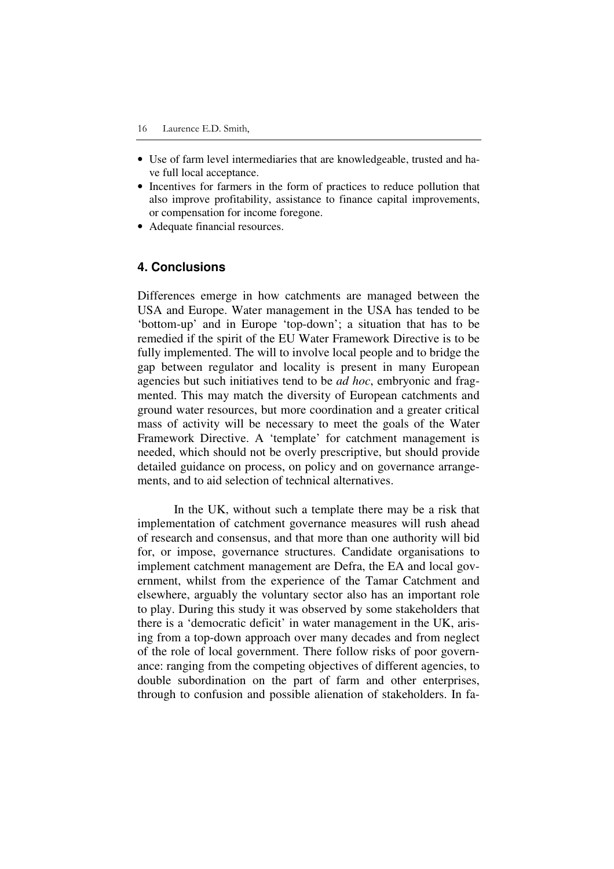- Use of farm level intermediaries that are knowledgeable, trusted and have full local acceptance.
- Incentives for farmers in the form of practices to reduce pollution that also improve profitability, assistance to finance capital improvements, or compensation for income foregone.
- Adequate financial resources.

### **4. Conclusions**

Differences emerge in how catchments are managed between the USA and Europe. Water management in the USA has tended to be 'bottom-up' and in Europe 'top-down'; a situation that has to be remedied if the spirit of the EU Water Framework Directive is to be fully implemented. The will to involve local people and to bridge the gap between regulator and locality is present in many European agencies but such initiatives tend to be *ad hoc*, embryonic and fragmented. This may match the diversity of European catchments and ground water resources, but more coordination and a greater critical mass of activity will be necessary to meet the goals of the Water Framework Directive. A 'template' for catchment management is needed, which should not be overly prescriptive, but should provide detailed guidance on process, on policy and on governance arrangements, and to aid selection of technical alternatives.

In the UK, without such a template there may be a risk that implementation of catchment governance measures will rush ahead of research and consensus, and that more than one authority will bid for, or impose, governance structures. Candidate organisations to implement catchment management are Defra, the EA and local government, whilst from the experience of the Tamar Catchment and elsewhere, arguably the voluntary sector also has an important role to play. During this study it was observed by some stakeholders that there is a 'democratic deficit' in water management in the UK, arising from a top-down approach over many decades and from neglect of the role of local government. There follow risks of poor governance: ranging from the competing objectives of different agencies, to double subordination on the part of farm and other enterprises, through to confusion and possible alienation of stakeholders. In fa-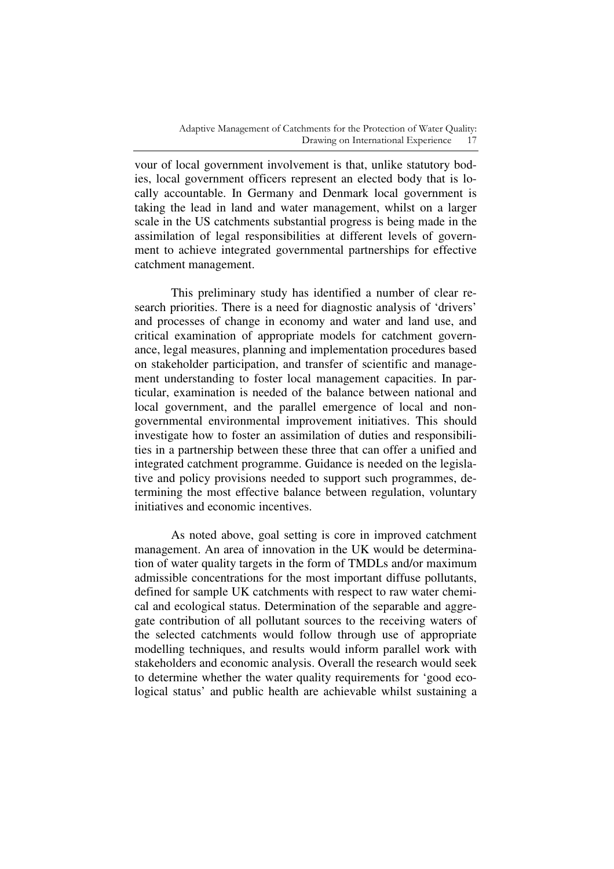vour of local government involvement is that, unlike statutory bodies, local government officers represent an elected body that is locally accountable. In Germany and Denmark local government is taking the lead in land and water management, whilst on a larger scale in the US catchments substantial progress is being made in the assimilation of legal responsibilities at different levels of government to achieve integrated governmental partnerships for effective catchment management.

This preliminary study has identified a number of clear research priorities. There is a need for diagnostic analysis of 'drivers' and processes of change in economy and water and land use, and critical examination of appropriate models for catchment governance, legal measures, planning and implementation procedures based on stakeholder participation, and transfer of scientific and management understanding to foster local management capacities. In particular, examination is needed of the balance between national and local government, and the parallel emergence of local and nongovernmental environmental improvement initiatives. This should investigate how to foster an assimilation of duties and responsibilities in a partnership between these three that can offer a unified and integrated catchment programme. Guidance is needed on the legislative and policy provisions needed to support such programmes, determining the most effective balance between regulation, voluntary initiatives and economic incentives.

As noted above, goal setting is core in improved catchment management. An area of innovation in the UK would be determination of water quality targets in the form of TMDLs and/or maximum admissible concentrations for the most important diffuse pollutants, defined for sample UK catchments with respect to raw water chemical and ecological status. Determination of the separable and aggregate contribution of all pollutant sources to the receiving waters of the selected catchments would follow through use of appropriate modelling techniques, and results would inform parallel work with stakeholders and economic analysis. Overall the research would seek to determine whether the water quality requirements for 'good ecological status' and public health are achievable whilst sustaining a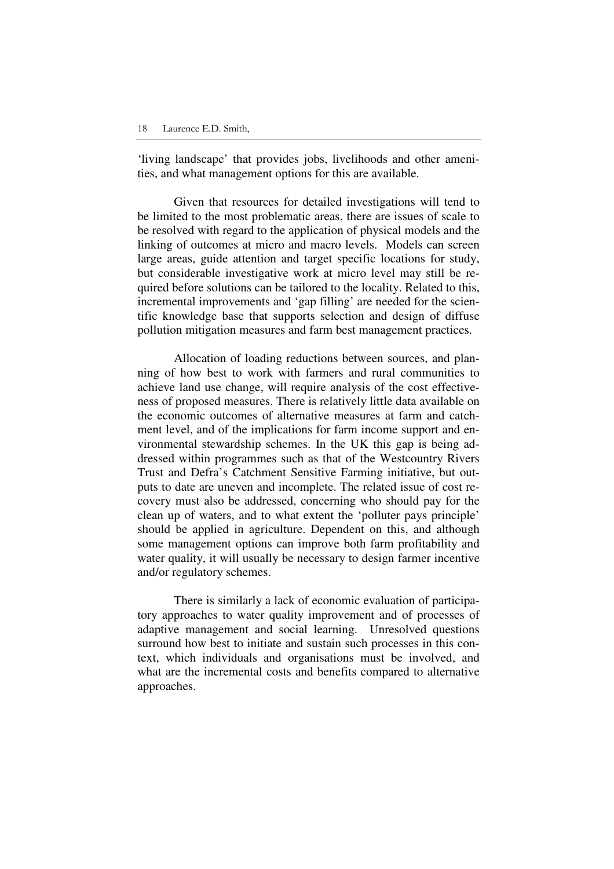'living landscape' that provides jobs, livelihoods and other amenities, and what management options for this are available.

Given that resources for detailed investigations will tend to be limited to the most problematic areas, there are issues of scale to be resolved with regard to the application of physical models and the linking of outcomes at micro and macro levels. Models can screen large areas, guide attention and target specific locations for study, but considerable investigative work at micro level may still be required before solutions can be tailored to the locality. Related to this, incremental improvements and 'gap filling' are needed for the scientific knowledge base that supports selection and design of diffuse pollution mitigation measures and farm best management practices.

Allocation of loading reductions between sources, and planning of how best to work with farmers and rural communities to achieve land use change, will require analysis of the cost effectiveness of proposed measures. There is relatively little data available on the economic outcomes of alternative measures at farm and catchment level, and of the implications for farm income support and environmental stewardship schemes. In the UK this gap is being addressed within programmes such as that of the Westcountry Rivers Trust and Defra's Catchment Sensitive Farming initiative, but outputs to date are uneven and incomplete. The related issue of cost recovery must also be addressed, concerning who should pay for the clean up of waters, and to what extent the 'polluter pays principle' should be applied in agriculture. Dependent on this, and although some management options can improve both farm profitability and water quality, it will usually be necessary to design farmer incentive and/or regulatory schemes.

There is similarly a lack of economic evaluation of participatory approaches to water quality improvement and of processes of adaptive management and social learning. Unresolved questions surround how best to initiate and sustain such processes in this context, which individuals and organisations must be involved, and what are the incremental costs and benefits compared to alternative approaches.